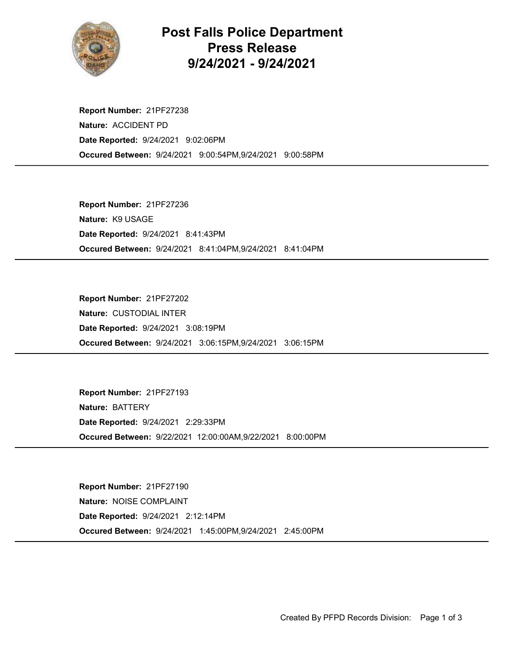

## Post Falls Police Department Press Release 9/24/2021 - 9/24/2021

Occured Between: 9/24/2021 9:00:54PM,9/24/2021 9:00:58PM Report Number: 21PF27238 Nature: ACCIDENT PD Date Reported: 9/24/2021 9:02:06PM

Occured Between: 9/24/2021 8:41:04PM,9/24/2021 8:41:04PM Report Number: 21PF27236 Nature: K9 USAGE Date Reported: 9/24/2021 8:41:43PM

Occured Between: 9/24/2021 3:06:15PM,9/24/2021 3:06:15PM Report Number: 21PF27202 Nature: CUSTODIAL INTER Date Reported: 9/24/2021 3:08:19PM

Occured Between: 9/22/2021 12:00:00AM,9/22/2021 8:00:00PM Report Number: 21PF27193 Nature: BATTERY Date Reported: 9/24/2021 2:29:33PM

Occured Between: 9/24/2021 1:45:00PM,9/24/2021 2:45:00PM Report Number: 21PF27190 Nature: NOISE COMPLAINT Date Reported: 9/24/2021 2:12:14PM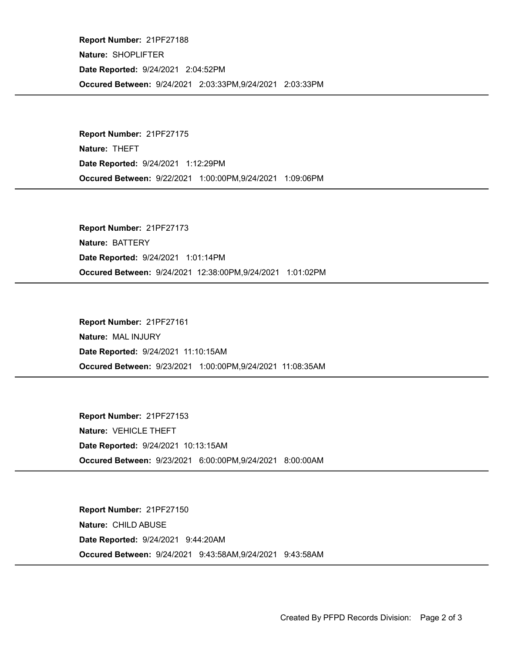Occured Between: 9/24/2021 2:03:33PM,9/24/2021 2:03:33PM Report Number: 21PF27188 Nature: SHOPLIFTER Date Reported: 9/24/2021 2:04:52PM

Occured Between: 9/22/2021 1:00:00PM,9/24/2021 1:09:06PM Report Number: 21PF27175 Nature: THEFT Date Reported: 9/24/2021 1:12:29PM

Occured Between: 9/24/2021 12:38:00PM,9/24/2021 1:01:02PM Report Number: 21PF27173 Nature: BATTERY Date Reported: 9/24/2021 1:01:14PM

Occured Between: 9/23/2021 1:00:00PM,9/24/2021 11:08:35AM Report Number: 21PF27161 Nature: MAL INJURY Date Reported: 9/24/2021 11:10:15AM

Occured Between: 9/23/2021 6:00:00PM,9/24/2021 8:00:00AM Report Number: 21PF27153 Nature: VEHICLE THEFT Date Reported: 9/24/2021 10:13:15AM

Occured Between: 9/24/2021 9:43:58AM,9/24/2021 9:43:58AM Report Number: 21PF27150 Nature: CHILD ABUSE Date Reported: 9/24/2021 9:44:20AM